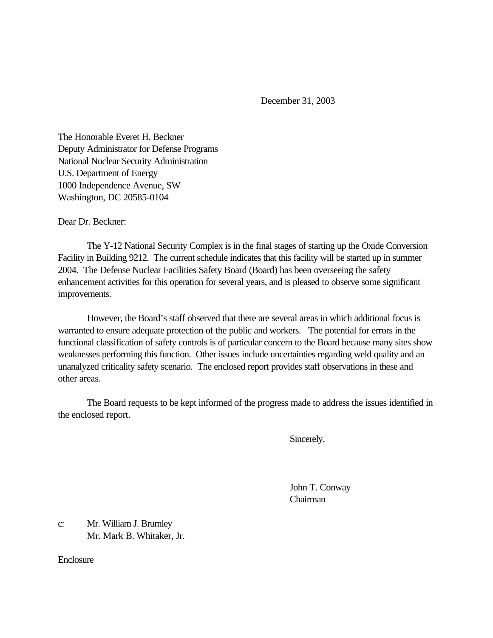December 31, 2003

The Honorable Everet H. Beckner Deputy Administrator for Defense Programs National Nuclear Security Administration U.S. Department of Energy 1000 Independence Avenue, SW Washington, DC 20585-0104

Dear Dr. Beckner:

The Y-12 National Security Complex is in the final stages of starting up the Oxide Conversion Facility in Building 9212. The current schedule indicates that this facility will be started up in summer 2004. The Defense Nuclear Facilities Safety Board (Board) has been overseeing the safety enhancement activities for this operation for several years, and is pleased to observe some significant improvements.

However, the Board's staff observed that there are several areas in which additional focus is warranted to ensure adequate protection of the public and workers. The potential for errors in the functional classification of safety controls is of particular concern to the Board because many sites show weaknesses performing this function. Other issues include uncertainties regarding weld quality and an unanalyzed criticality safety scenario. The enclosed report provides staff observations in these and other areas.

The Board requests to be kept informed of the progress made to address the issues identified in the enclosed report.

Sincerely,

John T. Conway Chairman

c: Mr. William J. Brumley Mr. Mark B. Whitaker, Jr.

**Enclosure**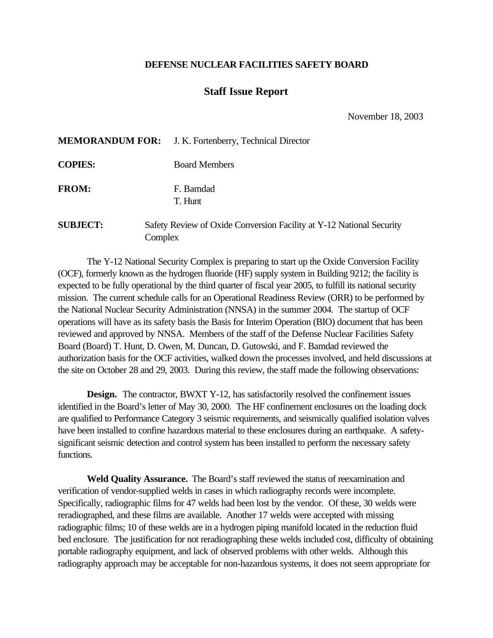## **DEFENSE NUCLEAR FACILITIES SAFETY BOARD**

## **Staff Issue Report**

November 18, 2003

|                 | <b>MEMORANDUM FOR:</b> J. K. Fortenberry, Technical Director                    |
|-----------------|---------------------------------------------------------------------------------|
| <b>COPIES:</b>  | <b>Board Members</b>                                                            |
| <b>FROM:</b>    | F. Bamdad<br>T. Hunt                                                            |
| <b>SUBJECT:</b> | Safety Review of Oxide Conversion Facility at Y-12 National Security<br>Complex |

The Y-12 National Security Complex is preparing to start up the Oxide Conversion Facility (OCF), formerly known as the hydrogen fluoride (HF) supply system in Building 9212; the facility is expected to be fully operational by the third quarter of fiscal year 2005, to fulfill its national security mission. The current schedule calls for an Operational Readiness Review (ORR) to be performed by the National Nuclear Security Administration (NNSA) in the summer 2004. The startup of OCF operations will have as its safety basis the Basis for Interim Operation (BIO) document that has been reviewed and approved by NNSA. Members of the staff of the Defense Nuclear Facilities Safety Board (Board) T. Hunt, D. Owen, M. Duncan, D. Gutowski, and F. Bamdad reviewed the authorization basis for the OCF activities, walked down the processes involved, and held discussions at the site on October 28 and 29, 2003. During this review, the staff made the following observations:

**Design.** The contractor, BWXT Y-12, has satisfactorily resolved the confinement issues identified in the Board's letter of May 30, 2000. The HF confinement enclosures on the loading dock are qualified to Performance Category 3 seismic requirements, and seismically qualified isolation valves have been installed to confine hazardous material to these enclosures during an earthquake. A safetysignificant seismic detection and control system has been installed to perform the necessary safety functions.

**Weld Quality Assurance.** The Board's staff reviewed the status of reexamination and verification of vendor-supplied welds in cases in which radiography records were incomplete. Specifically, radiographic films for 47 welds had been lost by the vendor. Of these, 30 welds were reradiographed, and these films are available. Another 17 welds were accepted with missing radiographic films; 10 of these welds are in a hydrogen piping manifold located in the reduction fluid bed enclosure. The justification for not reradiographing these welds included cost, difficulty of obtaining portable radiography equipment, and lack of observed problems with other welds. Although this radiography approach may be acceptable for non-hazardous systems, it does not seem appropriate for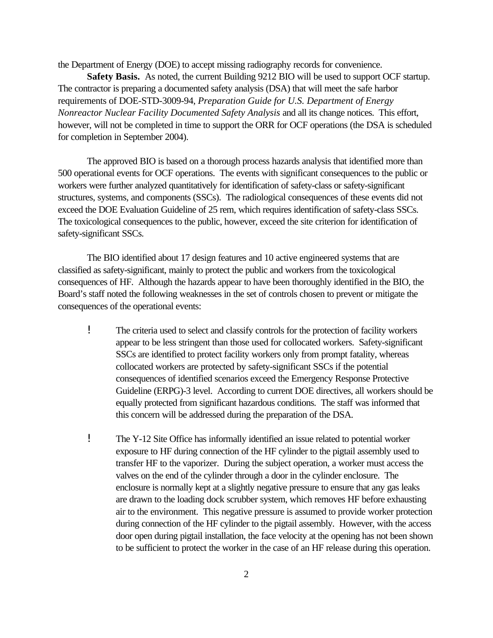the Department of Energy (DOE) to accept missing radiography records for convenience.

**Safety Basis.** As noted, the current Building 9212 BIO will be used to support OCF startup. The contractor is preparing a documented safety analysis (DSA) that will meet the safe harbor requirements of DOE-STD-3009-94, *Preparation Guide for U.S. Department of Energy Nonreactor Nuclear Facility Documented Safety Analysis* and all its change notices. This effort, however, will not be completed in time to support the ORR for OCF operations (the DSA is scheduled for completion in September 2004).

The approved BIO is based on a thorough process hazards analysis that identified more than 500 operational events for OCF operations. The events with significant consequences to the public or workers were further analyzed quantitatively for identification of safety-class or safety-significant structures, systems, and components (SSCs). The radiological consequences of these events did not exceed the DOE Evaluation Guideline of 25 rem, which requires identification of safety-class SSCs. The toxicological consequences to the public, however, exceed the site criterion for identification of safety-significant SSCs.

The BIO identified about 17 design features and 10 active engineered systems that are classified as safety-significant, mainly to protect the public and workers from the toxicological consequences of HF. Although the hazards appear to have been thoroughly identified in the BIO, the Board's staff noted the following weaknesses in the set of controls chosen to prevent or mitigate the consequences of the operational events:

- ! The criteria used to select and classify controls for the protection of facility workers appear to be less stringent than those used for collocated workers. Safety-significant SSCs are identified to protect facility workers only from prompt fatality, whereas collocated workers are protected by safety-significant SSCs if the potential consequences of identified scenarios exceed the Emergency Response Protective Guideline (ERPG)-3 level. According to current DOE directives, all workers should be equally protected from significant hazardous conditions. The staff was informed that this concern will be addressed during the preparation of the DSA.
- ! The Y-12 Site Office has informally identified an issue related to potential worker exposure to HF during connection of the HF cylinder to the pigtail assembly used to transfer HF to the vaporizer. During the subject operation, a worker must access the valves on the end of the cylinder through a door in the cylinder enclosure. The enclosure is normally kept at a slightly negative pressure to ensure that any gas leaks are drawn to the loading dock scrubber system, which removes HF before exhausting air to the environment. This negative pressure is assumed to provide worker protection during connection of the HF cylinder to the pigtail assembly. However, with the access door open during pigtail installation, the face velocity at the opening has not been shown to be sufficient to protect the worker in the case of an HF release during this operation.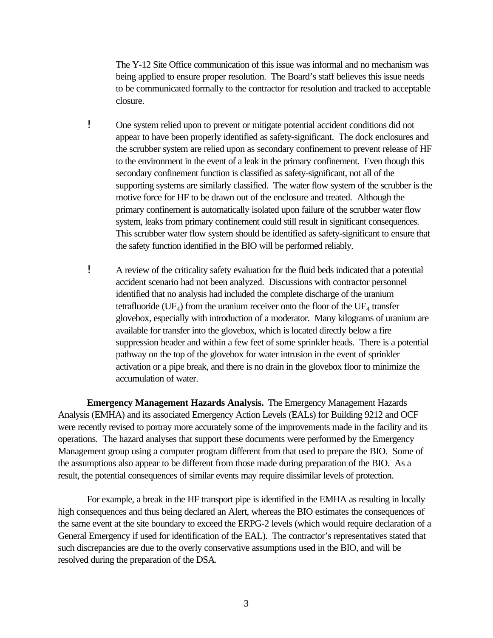The Y-12 Site Office communication of this issue was informal and no mechanism was being applied to ensure proper resolution. The Board's staff believes this issue needs to be communicated formally to the contractor for resolution and tracked to acceptable closure.

- ! One system relied upon to prevent or mitigate potential accident conditions did not appear to have been properly identified as safety-significant. The dock enclosures and the scrubber system are relied upon as secondary confinement to prevent release of HF to the environment in the event of a leak in the primary confinement. Even though this secondary confinement function is classified as safety-significant, not all of the supporting systems are similarly classified. The water flow system of the scrubber is the motive force for HF to be drawn out of the enclosure and treated. Although the primary confinement is automatically isolated upon failure of the scrubber water flow system, leaks from primary confinement could still result in significant consequences. This scrubber water flow system should be identified as safety-significant to ensure that the safety function identified in the BIO will be performed reliably.
- ! A review of the criticality safety evaluation for the fluid beds indicated that a potential accident scenario had not been analyzed. Discussions with contractor personnel identified that no analysis had included the complete discharge of the uranium tetrafluoride (UF<sub>4</sub>) from the uranium receiver onto the floor of the UF<sub>4</sub> transfer glovebox, especially with introduction of a moderator. Many kilograms of uranium are available for transfer into the glovebox, which is located directly below a fire suppression header and within a few feet of some sprinkler heads. There is a potential pathway on the top of the glovebox for water intrusion in the event of sprinkler activation or a pipe break, and there is no drain in the glovebox floor to minimize the accumulation of water.

**Emergency Management Hazards Analysis.** The Emergency Management Hazards Analysis (EMHA) and its associated Emergency Action Levels (EALs) for Building 9212 and OCF were recently revised to portray more accurately some of the improvements made in the facility and its operations. The hazard analyses that support these documents were performed by the Emergency Management group using a computer program different from that used to prepare the BIO. Some of the assumptions also appear to be different from those made during preparation of the BIO. As a result, the potential consequences of similar events may require dissimilar levels of protection.

For example, a break in the HF transport pipe is identified in the EMHA as resulting in locally high consequences and thus being declared an Alert, whereas the BIO estimates the consequences of the same event at the site boundary to exceed the ERPG-2 levels (which would require declaration of a General Emergency if used for identification of the EAL). The contractor's representatives stated that such discrepancies are due to the overly conservative assumptions used in the BIO, and will be resolved during the preparation of the DSA.